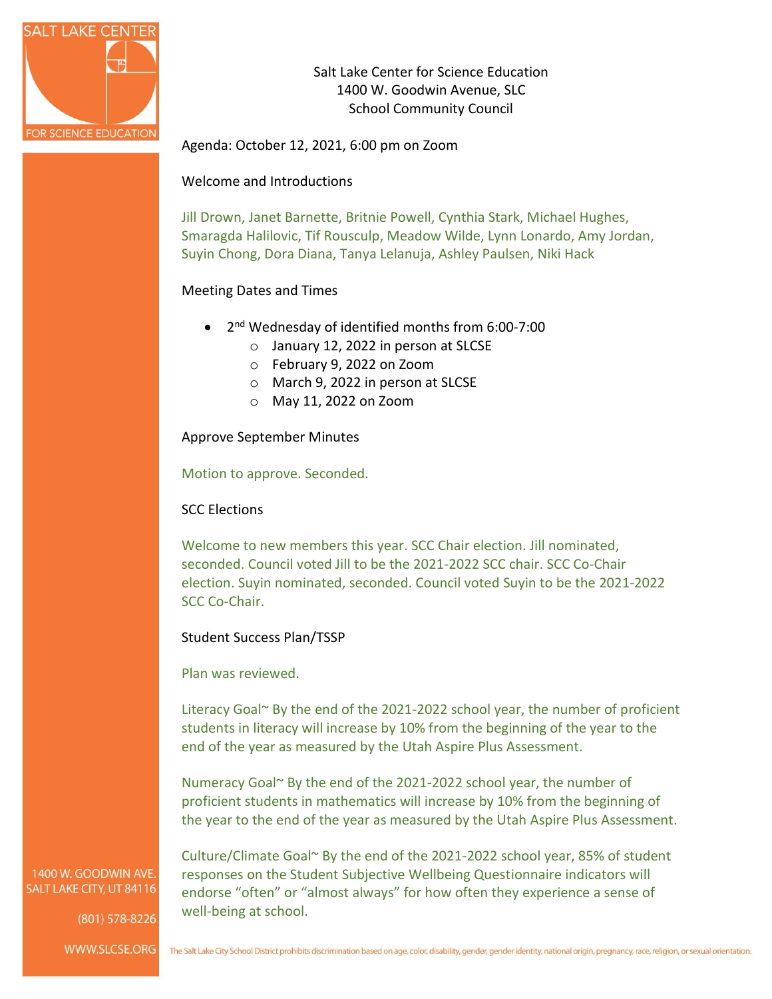

Salt Lake Center for Science Education 1400 W. Goodwin Avenue, SLC School Community Council

Agenda: October 12, 2021, 6:00 pm on Zoom

Welcome and Introductions

Jill Drown, Janet Barnette, Britnie Powell, Cynthia Stark, Michael Hughes, Smaragda Halilovic, Tif Rousculp, Meadow Wilde, Lynn Lonardo, Amy Jordan, Suyin Chong, Dora Diana, Tanya Lelanuja, Ashley Paulsen, Niki Hack

### Meeting Dates and Times

- 2<sup>nd</sup> Wednesday of identified months from 6:00-7:00
	- o January 12, 2022 in person at SLCSE
	- o February 9, 2022 on Zoom
	- o March 9, 2022 in person at SLCSE
	- o May 11, 2022 on Zoom

Approve September Minutes

Motion to approve. Seconded.

SCC Elections

Welcome to new members this year. SCC Chair election. Jill nominated, seconded. Council voted Jill to be the 2021-2022 SCC chair. SCC Co-Chair election. Suyin nominated, seconded. Council voted Suyin to be the 2021-2022 SCC Co-Chair.

Student Success Plan/TSSP

Plan was reviewed.

well-being at school.

Literacy Goal~ By the end of the 2021-2022 school year, the number of proficient students in literacy will increase by 10% from the beginning of the year to the end of the year as measured by the Utah Aspire Plus Assessment.

Numeracy Goal~ By the end of the 2021-2022 school year, the number of proficient students in mathematics will increase by 10% from the beginning of the year to the end of the year as measured by the Utah Aspire Plus Assessment.

Culture/Climate Goal~ By the end of the 2021-2022 school year, 85% of student responses on the Student Subjective Wellbeing Questionnaire indicators will endorse "often" or "almost always" for how often they experience a sense of

1400 W. GOODWIN AVE. SALT LAKE CITY, UT 84116

(801) 578-8226

WWW.SLCSE.ORG The Salt Lake City School District prohibits discrimination based on age, color, disability, gender, gender identity, national origin, pregnancy, race, religion, or sexual orientation.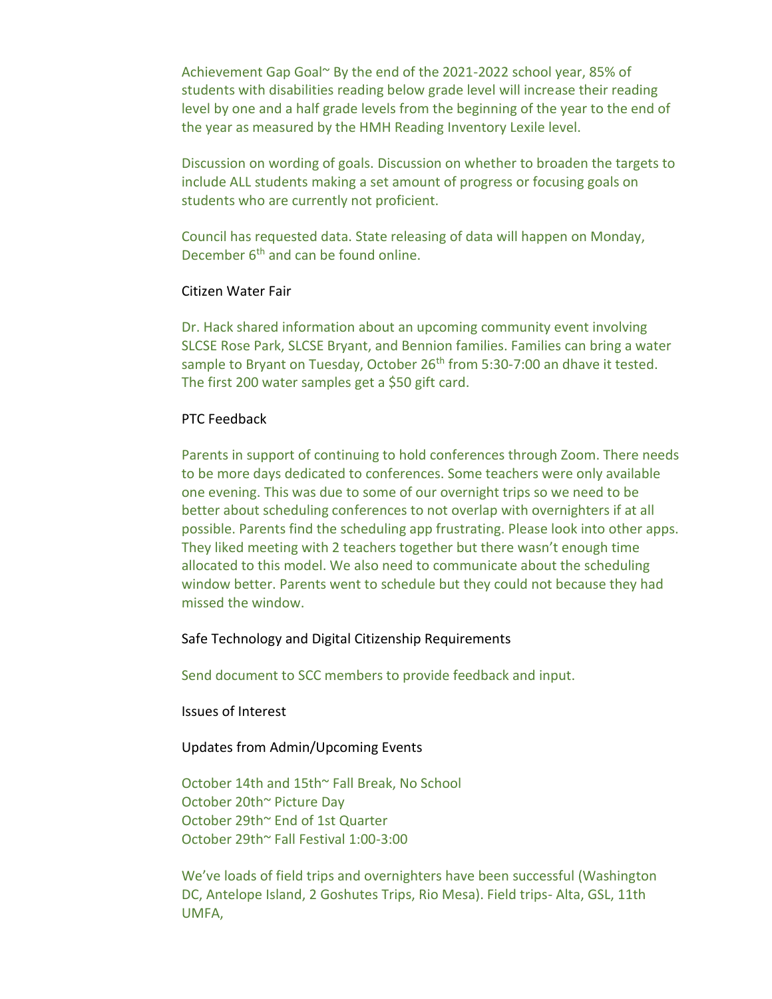Achievement Gap Goal~ By the end of the 2021-2022 school year, 85% of students with disabilities reading below grade level will increase their reading level by one and a half grade levels from the beginning of the year to the end of the year as measured by the HMH Reading Inventory Lexile level.

Discussion on wording of goals. Discussion on whether to broaden the targets to include ALL students making a set amount of progress or focusing goals on students who are currently not proficient.

Council has requested data. State releasing of data will happen on Monday, December 6<sup>th</sup> and can be found online.

### Citizen Water Fair

Dr. Hack shared information about an upcoming community event involving SLCSE Rose Park, SLCSE Bryant, and Bennion families. Families can bring a water sample to Bryant on Tuesday, October 26<sup>th</sup> from 5:30-7:00 an dhave it tested. The first 200 water samples get a \$50 gift card.

#### PTC Feedback

Parents in support of continuing to hold conferences through Zoom. There needs to be more days dedicated to conferences. Some teachers were only available one evening. This was due to some of our overnight trips so we need to be better about scheduling conferences to not overlap with overnighters if at all possible. Parents find the scheduling app frustrating. Please look into other apps. They liked meeting with 2 teachers together but there wasn't enough time allocated to this model. We also need to communicate about the scheduling window better. Parents went to schedule but they could not because they had missed the window.

Safe Technology and Digital Citizenship Requirements

Send document to SCC members to provide feedback and input.

Issues of Interest

Updates from Admin/Upcoming Events

October 14th and 15th~ Fall Break, No School October 20th~ Picture Day October 29th~ End of 1st Quarter October 29th~ Fall Festival 1:00-3:00

We've loads of field trips and overnighters have been successful (Washington DC, Antelope Island, 2 Goshutes Trips, Rio Mesa). Field trips- Alta, GSL, 11th UMFA,